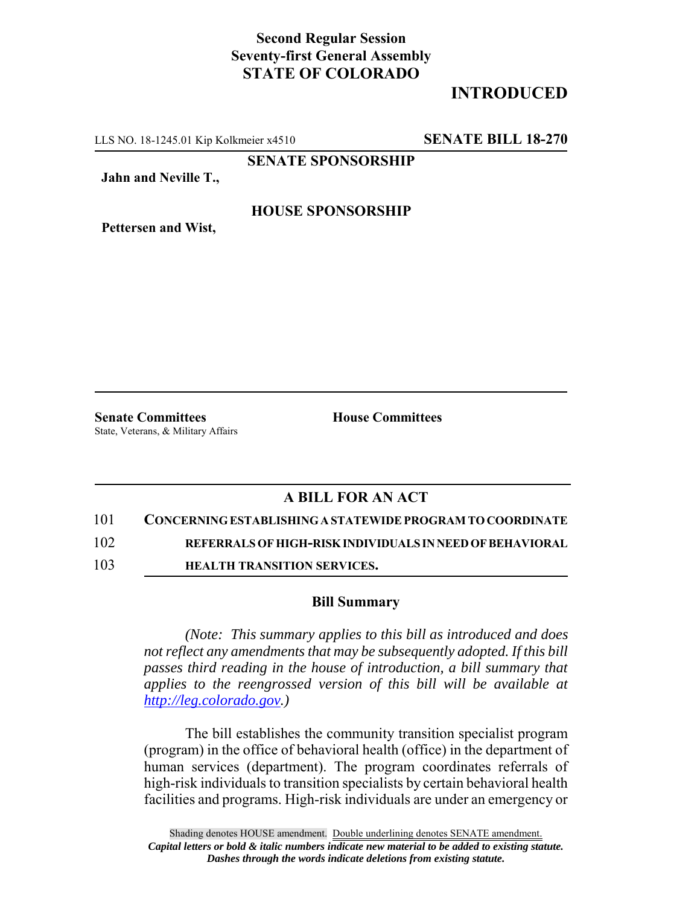## **Second Regular Session Seventy-first General Assembly STATE OF COLORADO**

## **INTRODUCED**

LLS NO. 18-1245.01 Kip Kolkmeier x4510 **SENATE BILL 18-270**

**SENATE SPONSORSHIP**

**Jahn and Neville T.,**

### **HOUSE SPONSORSHIP**

**Pettersen and Wist,**

**Senate Committees House Committees** State, Veterans, & Military Affairs

### **A BILL FOR AN ACT**

101 **CONCERNING ESTABLISHING A STATEWIDE PROGRAM TO COORDINATE**

102 **REFERRALS OF HIGH-RISK INDIVIDUALS IN NEED OF BEHAVIORAL**

103 **HEALTH TRANSITION SERVICES.**

#### **Bill Summary**

*(Note: This summary applies to this bill as introduced and does not reflect any amendments that may be subsequently adopted. If this bill passes third reading in the house of introduction, a bill summary that applies to the reengrossed version of this bill will be available at http://leg.colorado.gov.)*

The bill establishes the community transition specialist program (program) in the office of behavioral health (office) in the department of human services (department). The program coordinates referrals of high-risk individuals to transition specialists by certain behavioral health facilities and programs. High-risk individuals are under an emergency or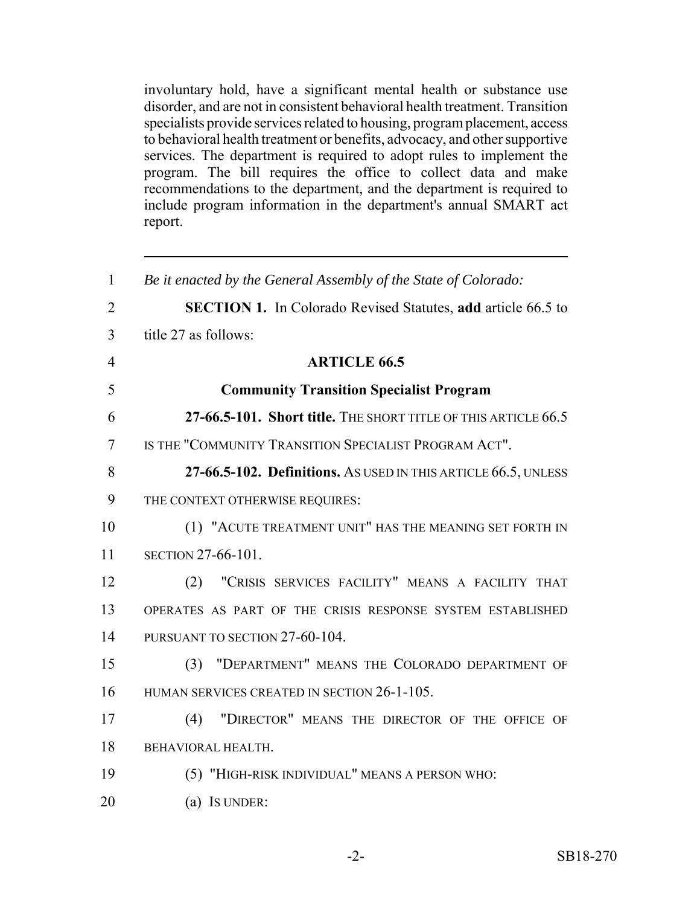involuntary hold, have a significant mental health or substance use disorder, and are not in consistent behavioral health treatment. Transition specialists provide services related to housing, program placement, access to behavioral health treatment or benefits, advocacy, and other supportive services. The department is required to adopt rules to implement the program. The bill requires the office to collect data and make recommendations to the department, and the department is required to include program information in the department's annual SMART act report.

| $\mathbf{1}$   | Be it enacted by the General Assembly of the State of Colorado:     |
|----------------|---------------------------------------------------------------------|
| $\overline{2}$ | <b>SECTION 1.</b> In Colorado Revised Statutes, add article 66.5 to |
| 3              | title 27 as follows:                                                |
| $\overline{4}$ | <b>ARTICLE 66.5</b>                                                 |
| 5              | <b>Community Transition Specialist Program</b>                      |
| 6              | 27-66.5-101. Short title. THE SHORT TITLE OF THIS ARTICLE 66.5      |
| 7              | IS THE "COMMUNITY TRANSITION SPECIALIST PROGRAM ACT".               |
| 8              | 27-66.5-102. Definitions. As USED IN THIS ARTICLE 66.5, UNLESS      |
| 9              | THE CONTEXT OTHERWISE REQUIRES:                                     |
| 10             | (1) "ACUTE TREATMENT UNIT" HAS THE MEANING SET FORTH IN             |
| 11             | SECTION 27-66-101.                                                  |
| 12             | "CRISIS SERVICES FACILITY" MEANS A FACILITY THAT<br>(2)             |
| 13             | OPERATES AS PART OF THE CRISIS RESPONSE SYSTEM ESTABLISHED          |
| 14             | PURSUANT TO SECTION 27-60-104.                                      |
| 15             | (3) "DEPARTMENT" MEANS THE COLORADO DEPARTMENT OF                   |
| 16             | HUMAN SERVICES CREATED IN SECTION 26-1-105.                         |
| 17             | "DIRECTOR" MEANS THE DIRECTOR OF THE OFFICE OF<br>(4)               |
| 18             | BEHAVIORAL HEALTH.                                                  |
| 19             | (5) "HIGH-RISK INDIVIDUAL" MEANS A PERSON WHO:                      |
| 20             | (a) IS UNDER:                                                       |
|                |                                                                     |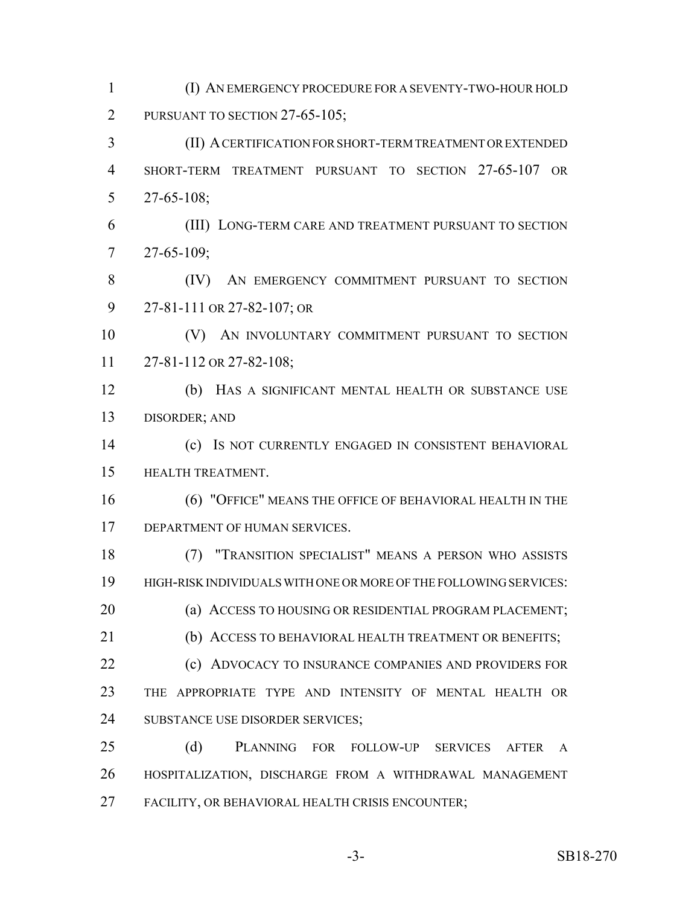2 PURSUANT TO SECTION 27-65-105; (II) A CERTIFICATION FOR SHORT-TERM TREATMENT OR EXTENDED SHORT-TERM TREATMENT PURSUANT TO SECTION 27-65-107 OR 27-65-108; (III) LONG-TERM CARE AND TREATMENT PURSUANT TO SECTION 27-65-109; (IV) AN EMERGENCY COMMITMENT PURSUANT TO SECTION 27-81-111 OR 27-82-107; OR (V) AN INVOLUNTARY COMMITMENT PURSUANT TO SECTION 27-81-112 OR 27-82-108; (b) HAS A SIGNIFICANT MENTAL HEALTH OR SUBSTANCE USE DISORDER; AND (c) IS NOT CURRENTLY ENGAGED IN CONSISTENT BEHAVIORAL HEALTH TREATMENT. (6) "OFFICE" MEANS THE OFFICE OF BEHAVIORAL HEALTH IN THE DEPARTMENT OF HUMAN SERVICES. (7) "TRANSITION SPECIALIST" MEANS A PERSON WHO ASSISTS HIGH-RISK INDIVIDUALS WITH ONE OR MORE OF THE FOLLOWING SERVICES: **(a) ACCESS TO HOUSING OR RESIDENTIAL PROGRAM PLACEMENT**; 21 (b) ACCESS TO BEHAVIORAL HEALTH TREATMENT OR BENEFITS; **(c) ADVOCACY TO INSURANCE COMPANIES AND PROVIDERS FOR**  THE APPROPRIATE TYPE AND INTENSITY OF MENTAL HEALTH OR SUBSTANCE USE DISORDER SERVICES; (d) PLANNING FOR FOLLOW-UP SERVICES AFTER A HOSPITALIZATION, DISCHARGE FROM A WITHDRAWAL MANAGEMENT FACILITY, OR BEHAVIORAL HEALTH CRISIS ENCOUNTER;

(I) AN EMERGENCY PROCEDURE FOR A SEVENTY-TWO-HOUR HOLD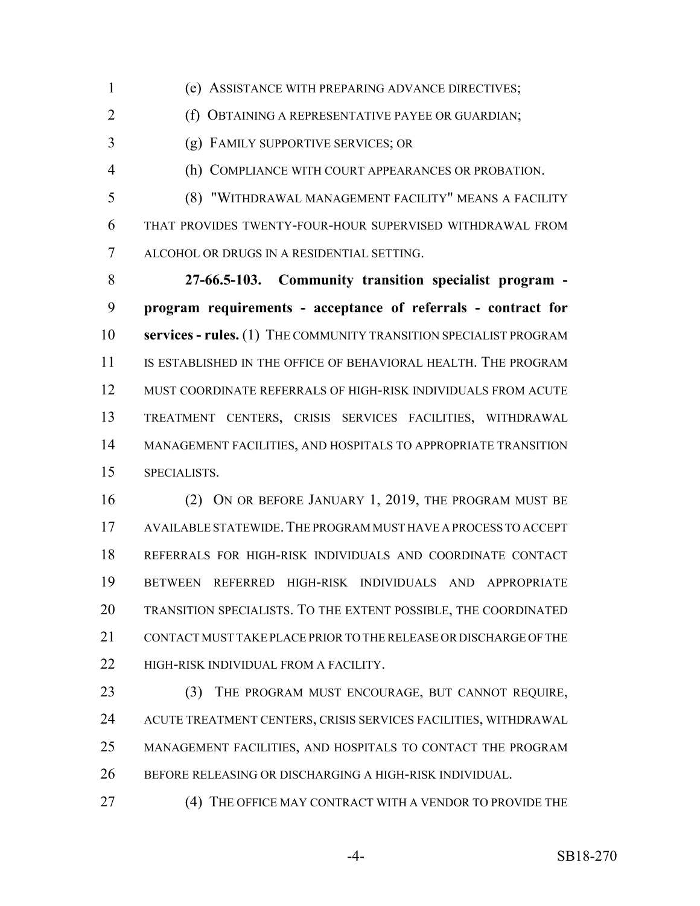(e) ASSISTANCE WITH PREPARING ADVANCE DIRECTIVES;

**(f) OBTAINING A REPRESENTATIVE PAYEE OR GUARDIAN;** 

(g) FAMILY SUPPORTIVE SERVICES; OR

(h) COMPLIANCE WITH COURT APPEARANCES OR PROBATION.

 (8) "WITHDRAWAL MANAGEMENT FACILITY" MEANS A FACILITY THAT PROVIDES TWENTY-FOUR-HOUR SUPERVISED WITHDRAWAL FROM ALCOHOL OR DRUGS IN A RESIDENTIAL SETTING.

 **27-66.5-103. Community transition specialist program - program requirements - acceptance of referrals - contract for services - rules.** (1) THE COMMUNITY TRANSITION SPECIALIST PROGRAM IS ESTABLISHED IN THE OFFICE OF BEHAVIORAL HEALTH. THE PROGRAM MUST COORDINATE REFERRALS OF HIGH-RISK INDIVIDUALS FROM ACUTE TREATMENT CENTERS, CRISIS SERVICES FACILITIES, WITHDRAWAL MANAGEMENT FACILITIES, AND HOSPITALS TO APPROPRIATE TRANSITION SPECIALISTS.

 (2) ON OR BEFORE JANUARY 1, 2019, THE PROGRAM MUST BE AVAILABLE STATEWIDE.THE PROGRAM MUST HAVE A PROCESS TO ACCEPT REFERRALS FOR HIGH-RISK INDIVIDUALS AND COORDINATE CONTACT BETWEEN REFERRED HIGH-RISK INDIVIDUALS AND APPROPRIATE TRANSITION SPECIALISTS. TO THE EXTENT POSSIBLE, THE COORDINATED CONTACT MUST TAKE PLACE PRIOR TO THE RELEASE OR DISCHARGE OF THE **HIGH-RISK INDIVIDUAL FROM A FACILITY.** 

 (3) THE PROGRAM MUST ENCOURAGE, BUT CANNOT REQUIRE, ACUTE TREATMENT CENTERS, CRISIS SERVICES FACILITIES, WITHDRAWAL MANAGEMENT FACILITIES, AND HOSPITALS TO CONTACT THE PROGRAM BEFORE RELEASING OR DISCHARGING A HIGH-RISK INDIVIDUAL.

27 (4) THE OFFICE MAY CONTRACT WITH A VENDOR TO PROVIDE THE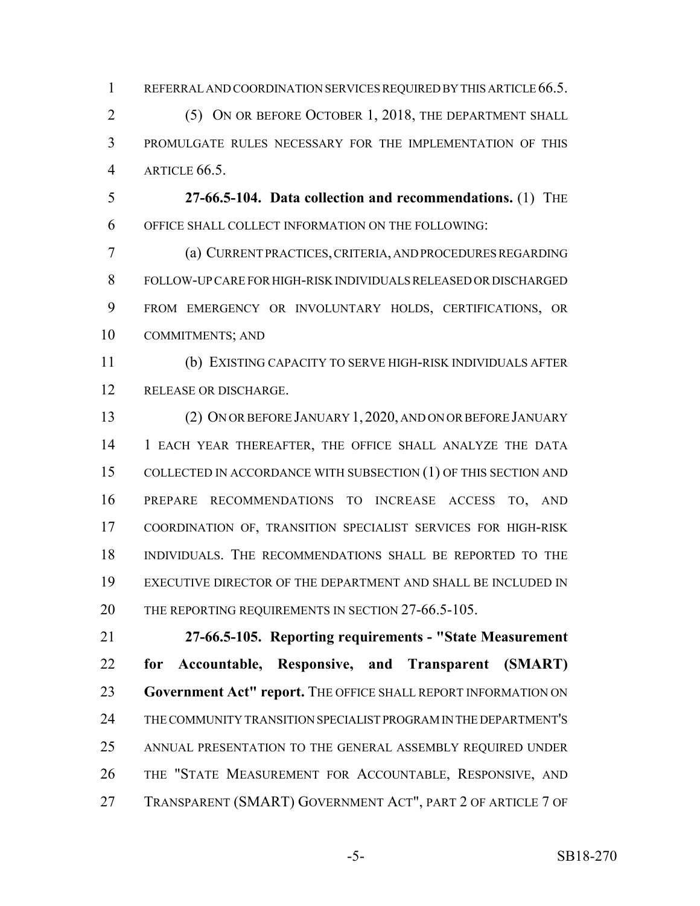1 REFERRAL AND COORDINATION SERVICES REQUIRED BY THIS ARTICLE 66.5.

2 (5) ON OR BEFORE OCTOBER 1, 2018, THE DEPARTMENT SHALL PROMULGATE RULES NECESSARY FOR THE IMPLEMENTATION OF THIS ARTICLE 66.5.

 **27-66.5-104. Data collection and recommendations.** (1) THE OFFICE SHALL COLLECT INFORMATION ON THE FOLLOWING:

 (a) CURRENT PRACTICES, CRITERIA, AND PROCEDURES REGARDING FOLLOW-UP CARE FOR HIGH-RISK INDIVIDUALS RELEASED OR DISCHARGED FROM EMERGENCY OR INVOLUNTARY HOLDS, CERTIFICATIONS, OR COMMITMENTS; AND

 (b) EXISTING CAPACITY TO SERVE HIGH-RISK INDIVIDUALS AFTER RELEASE OR DISCHARGE.

 (2) ON OR BEFORE JANUARY 1, 2020, AND ON OR BEFORE JANUARY 1 EACH YEAR THEREAFTER, THE OFFICE SHALL ANALYZE THE DATA COLLECTED IN ACCORDANCE WITH SUBSECTION (1) OF THIS SECTION AND PREPARE RECOMMENDATIONS TO INCREASE ACCESS TO, AND COORDINATION OF, TRANSITION SPECIALIST SERVICES FOR HIGH-RISK INDIVIDUALS. THE RECOMMENDATIONS SHALL BE REPORTED TO THE EXECUTIVE DIRECTOR OF THE DEPARTMENT AND SHALL BE INCLUDED IN 20 THE REPORTING REQUIREMENTS IN SECTION 27-66.5-105.

 **27-66.5-105. Reporting requirements - "State Measurement for Accountable, Responsive, and Transparent (SMART) Government Act" report.** THE OFFICE SHALL REPORT INFORMATION ON THE COMMUNITY TRANSITION SPECIALIST PROGRAM IN THE DEPARTMENT'S ANNUAL PRESENTATION TO THE GENERAL ASSEMBLY REQUIRED UNDER THE "STATE MEASUREMENT FOR ACCOUNTABLE, RESPONSIVE, AND TRANSPARENT (SMART) GOVERNMENT ACT", PART 2 OF ARTICLE 7 OF